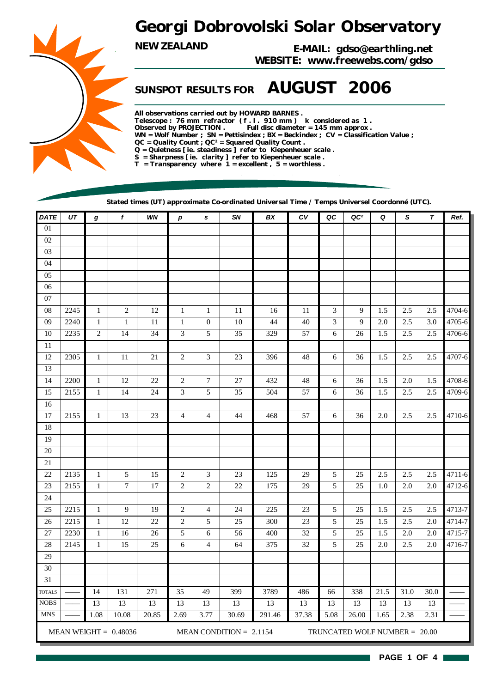## *Georgi Dobrovolski Solar Observatory*

*NEW ZEALAND E-MAIL: gdso@earthling.net WEBSITE: www.freewebs.com/gdso*

## *SUNSPOT RESULTS FOR AUGUST 2006*

*All observations carried out by HOWARD BARNES . Telescope : 76 mm refractor ( f . l . 910 mm ) k considered as 1 . Observed by PROJECTION . Full disc diameter = 145 mm approx . WN = Wolf Number ; SN = Pettisindex ; BX = Beckindex ; CV = Classification Value ; QC = Quality Count ; QC² = Squared Quality Count . Q = Quietness [ ie. steadiness ] refer to Kiepenheuer scale . S = Sharpness [ ie. clarity ] refer to Kiepenheuer scale . T = Transparency where 1 = excellent , 5 = worthless .*

*Stated times (UT) approximate Co-ordinated Universal Time / Temps Universel Coordonné (UTC).*

| <b>DATE</b>   | $U\mathcal{T}$ | $\boldsymbol{g}$ | $\mathbf f$             | WN     | p                        | s                | SN                        | BX     | ${\cal C}{\cal V}$ | QC                          | QC <sup>2</sup>                 | Q       | S       | $\boldsymbol{\tau}$ | Ref.   |
|---------------|----------------|------------------|-------------------------|--------|--------------------------|------------------|---------------------------|--------|--------------------|-----------------------------|---------------------------------|---------|---------|---------------------|--------|
| $01\,$        |                |                  |                         |        |                          |                  |                           |        |                    |                             |                                 |         |         |                     |        |
| $02\,$        |                |                  |                         |        |                          |                  |                           |        |                    |                             |                                 |         |         |                     |        |
| 03            |                |                  |                         |        |                          |                  |                           |        |                    |                             |                                 |         |         |                     |        |
| $04\,$        |                |                  |                         |        |                          |                  |                           |        |                    |                             |                                 |         |         |                     |        |
| 05            |                |                  |                         |        |                          |                  |                           |        |                    |                             |                                 |         |         |                     |        |
| $06$          |                |                  |                         |        |                          |                  |                           |        |                    |                             |                                 |         |         |                     |        |
| $07\,$        |                |                  |                         |        |                          |                  |                           |        |                    |                             |                                 |         |         |                     |        |
| 08            | 2245           | $\mathbf 1$      | $\sqrt{2}$              | $12\,$ | $\mathbf{1}$             | $\mathbf 1$      | 11                        | 16     | 11                 | $\ensuremath{\mathfrak{Z}}$ | 9                               | 1.5     | 2.5     | 2.5                 | 4704-6 |
| 09            | 2240           | $\mathbf{1}$     | $\mathbf{1}$            | 11     | $\mathbf{1}$             | $\boldsymbol{0}$ | $10\,$                    | 44     | 40                 | 3                           | 9                               | 2.0     | 2.5     | 3.0                 | 4705-6 |
| 10            | 2235           | $\sqrt{2}$       | 14                      | 34     | 3                        | $\sqrt{5}$       | 35                        | 329    | 57                 | 6                           | 26                              | 1.5     | 2.5     | 2.5                 | 4706-6 |
| 11            |                |                  |                         |        |                          |                  |                           |        |                    |                             |                                 |         |         |                     |        |
| 12            | 2305           | $\mathbf{1}$     | 11                      | 21     | $\boldsymbol{2}$         | $\mathfrak{Z}$   | $23\,$                    | 396    | 48                 | 6                           | 36                              | 1.5     | $2.5\,$ | 2.5                 | 4707-6 |
| 13            |                |                  |                         |        |                          |                  |                           |        |                    |                             |                                 |         |         |                     |        |
| 14            | 2200           | $\mathbf{1}$     | 12                      | $22\,$ | $\boldsymbol{2}$         | $\boldsymbol{7}$ | $27\,$                    | 432    | $\sqrt{48}$        | 6                           | 36                              | 1.5     | $2.0\,$ | 1.5                 | 4708-6 |
| 15            | 2155           | $\mathbf{1}$     | 14                      | $24\,$ | 3                        | $\sqrt{5}$       | 35                        | 504    | 57                 | 6                           | 36                              | $1.5\,$ | 2.5     | $2.5\,$             | 4709-6 |
| 16            |                |                  |                         |        |                          |                  |                           |        |                    |                             |                                 |         |         |                     |        |
| $17\,$        | 2155           | $\mathbf{1}$     | 13                      | 23     | $\overline{\mathcal{L}}$ | 4                | 44                        | 468    | 57                 | 6                           | 36                              | 2.0     | 2.5     | 2.5                 | 4710-6 |
| 18            |                |                  |                         |        |                          |                  |                           |        |                    |                             |                                 |         |         |                     |        |
| 19            |                |                  |                         |        |                          |                  |                           |        |                    |                             |                                 |         |         |                     |        |
| $20\,$        |                |                  |                         |        |                          |                  |                           |        |                    |                             |                                 |         |         |                     |        |
| $21\,$        |                |                  |                         |        |                          |                  |                           |        |                    |                             |                                 |         |         |                     |        |
| 22            | 2135           | $\mathbf{1}$     | 5                       | 15     | $\boldsymbol{2}$         | 3                | 23                        | 125    | 29                 | 5                           | 25                              | 2.5     | $2.5\,$ | $2.5\,$             | 4711-6 |
| 23            | 2155           | $\mathbf{1}$     | $\boldsymbol{7}$        | 17     | $\overline{c}$           | $\overline{c}$   | 22                        | 175    | 29                 | 5                           | 25                              | 1.0     | $2.0\,$ | $2.0\,$             | 4712-6 |
| $24\,$        |                |                  |                         |        |                          |                  |                           |        |                    |                             |                                 |         |         |                     |        |
| 25            | 2215           | $\mathbf{1}$     | 9                       | 19     | $\sqrt{2}$               | 4                | 24                        | 225    | 23                 | $\sqrt{5}$                  | 25                              | 1.5     | 2.5     | 2.5                 | 4713-7 |
| 26            | 2215           | $\mathbf{1}$     | 12                      | 22     | $\overline{c}$           | 5                | 25                        | 300    | $23\,$             | 5                           | 25                              | 1.5     | $2.5\,$ | $2.0$               | 4714-7 |
| $27\,$        | 2230           | $\mathbf{1}$     | 16                      | $26\,$ | 5                        | 6                | 56                        | 400    | $32\,$             | 5                           | 25                              | 1.5     | 2.0     | 2.0                 | 4715-7 |
| $28\,$        | 2145           | $\mathbf{1}$     | 15                      | $25\,$ | 6                        | $\overline{4}$   | 64                        | 375    | $32\,$             | 5                           | 25                              | $2.0\,$ | $2.5\,$ | $2.0\,$             | 4716-7 |
| 29            |                |                  |                         |        |                          |                  |                           |        |                    |                             |                                 |         |         |                     |        |
| $30\,$        |                |                  |                         |        |                          |                  |                           |        |                    |                             |                                 |         |         |                     |        |
| 31            |                |                  |                         |        |                          |                  |                           |        |                    |                             |                                 |         |         |                     |        |
| <b>TOTALS</b> |                | 14               | 131                     | 271    | 35                       | 49               | 399                       | 3789   | 486                | 66                          | 338                             | 21.5    | 31.0    | 30.0                |        |
| <b>NOBS</b>   |                | 13               | 13                      | 13     | 13                       | 13               | 13                        | 13     | 13                 | 13                          | 13                              | 13      | 13      | 13                  |        |
| <b>MNS</b>    |                | 1.08             | 10.08                   | 20.85  | 2.69                     | 3.77             | 30.69                     | 291.46 | 37.38              | 5.08                        | 26.00                           | 1.65    | 2.38    | 2.31                |        |
|               |                |                  | MEAN WEIGHT = $0.48036$ |        |                          |                  | MEAN CONDITION = $2.1154$ |        |                    |                             | TRUNCATED WOLF NUMBER = $20.00$ |         |         |                     |        |

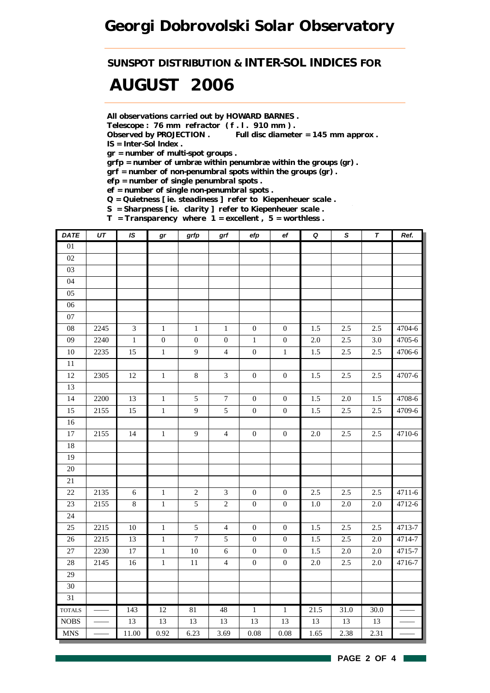## *Georgi Dobrovolski Solar Observatory*

*SUNSPOT DISTRIBUTION & INTER-SOL INDICES FOR*

## *AUGUST 2006*

*All observations carried out by HOWARD BARNES .*

*Telescope : 76 mm refractor ( f . l . 910 mm ) .*

*Observed by PROJECTION . Full disc diameter = 145 mm approx . IS = Inter-Sol Index .*

*gr = number of multi-spot groups .*

*grfp = number of umbræ within penumbræ within the groups (gr) .*

*grf = number of non-penumbral spots within the groups (gr) .*

*efp = number of single penumbral spots .*

*ef = number of single non-penumbral spots .*

*Q = Quietness [ ie. steadiness ] refer to Kiepenheuer scale .*

*S = Sharpness [ ie. clarity ] refer to Kiepenheuer scale . T = Transparency where 1 = excellent , 5 = worthless .*

| <b>DATE</b>     | $\overline{UT}$ | IS         | gr               | grfp             | grf              | efp              | $_{\rm ef}$      | $\pmb Q$ | $\overline{s}$ | $\overline{\tau}$ | Ref.   |
|-----------------|-----------------|------------|------------------|------------------|------------------|------------------|------------------|----------|----------------|-------------------|--------|
| $01\,$          |                 |            |                  |                  |                  |                  |                  |          |                |                   |        |
| 02              |                 |            |                  |                  |                  |                  |                  |          |                |                   |        |
| 03              |                 |            |                  |                  |                  |                  |                  |          |                |                   |        |
| 04              |                 |            |                  |                  |                  |                  |                  |          |                |                   |        |
| 05              |                 |            |                  |                  |                  |                  |                  |          |                |                   |        |
| 06              |                 |            |                  |                  |                  |                  |                  |          |                |                   |        |
| 07              |                 |            |                  |                  |                  |                  |                  |          |                |                   |        |
| 08              | 2245            | 3          | $\,1\,$          | $\,1\,$          | $\mathbf 1$      | $\boldsymbol{0}$ | $\boldsymbol{0}$ | 1.5      | 2.5            | 2.5               | 4704-6 |
| 09              | 2240            | $\,1$      | $\boldsymbol{0}$ | $\boldsymbol{0}$ | $\boldsymbol{0}$ | $\mathbf{1}$     | $\boldsymbol{0}$ | $2.0\,$  | $2.5\,$        | $3.0\,$           | 4705-6 |
| 10              | 2235            | 15         | $\,1$            | 9                | $\overline{4}$   | $\boldsymbol{0}$ | $\mathbf{1}$     | $1.5\,$  | 2.5            | 2.5               | 4706-6 |
| $\overline{11}$ |                 |            |                  |                  |                  |                  |                  |          |                |                   |        |
| 12              | 2305            | 12         | $\,1\,$          | $\,8\,$          | $\mathfrak{Z}$   | $\boldsymbol{0}$ | $\boldsymbol{0}$ | 1.5      | 2.5            | 2.5               | 4707-6 |
| 13              |                 |            |                  |                  |                  |                  |                  |          |                |                   |        |
| 14              | 2200            | 13         | $\,1\,$          | $\sqrt{5}$       | $\overline{7}$   | $\boldsymbol{0}$ | $\boldsymbol{0}$ | 1.5      | 2.0            | 1.5               | 4708-6 |
| 15              | 2155            | 15         | $\,1\,$          | $\mathbf{9}$     | $\sqrt{5}$       | $\boldsymbol{0}$ | $\boldsymbol{0}$ | 1.5      | 2.5            | 2.5               | 4709-6 |
| 16              |                 |            |                  |                  |                  |                  |                  |          |                |                   |        |
| $\overline{17}$ | 2155            | 14         | $\,1$            | $\overline{9}$   | $\overline{4}$   | $\boldsymbol{0}$ | $\boldsymbol{0}$ | 2.0      | 2.5            | 2.5               | 4710-6 |
| 18              |                 |            |                  |                  |                  |                  |                  |          |                |                   |        |
| 19              |                 |            |                  |                  |                  |                  |                  |          |                |                   |        |
| 20              |                 |            |                  |                  |                  |                  |                  |          |                |                   |        |
| $21\,$          |                 |            |                  |                  |                  |                  |                  |          |                |                   |        |
| 22              | 2135            | $\sqrt{6}$ | $1\,$            | $\sqrt{2}$       | $\mathfrak{Z}$   | $\boldsymbol{0}$ | $\boldsymbol{0}$ | $2.5\,$  | $2.5\,$        | 2.5               | 4711-6 |
| 23              | 2155            | $\,8$      | $\,1\,$          | $\sqrt{5}$       | $\sqrt{2}$       | $\boldsymbol{0}$ | $\mathbf{0}$     | 1.0      | 2.0            | $2.0\,$           | 4712-6 |
| 24              |                 |            |                  |                  |                  |                  |                  |          |                |                   |        |
| 25              | 2215            | $10\,$     | $\,1$            | $\sqrt{5}$       | $\overline{4}$   | $\boldsymbol{0}$ | $\boldsymbol{0}$ | 1.5      | 2.5            | 2.5               | 4713-7 |
| $26\,$          | 2215            | 13         | $\,1\,$          | $\boldsymbol{7}$ | $\sqrt{5}$       | $\boldsymbol{0}$ | $\boldsymbol{0}$ | 1.5      | 2.5            | $2.0\,$           | 4714-7 |
| 27              | 2230            | $17\,$     | $1\,$            | $10\,$           | $\sqrt{6}$       | $\boldsymbol{0}$ | $\boldsymbol{0}$ | 1.5      | 2.0            | $2.0\,$           | 4715-7 |
| 28              | 2145            | 16         | $\,1\,$          | $11\,$           | $\overline{4}$   | $\boldsymbol{0}$ | $\boldsymbol{0}$ | $2.0\,$  | $2.5\,$        | $2.0\,$           | 4716-7 |
| $\overline{29}$ |                 |            |                  |                  |                  |                  |                  |          |                |                   |        |
| $30\,$          |                 |            |                  |                  |                  |                  |                  |          |                |                   |        |
| 31              |                 |            |                  |                  |                  |                  |                  |          |                |                   |        |
| <b>TOTALS</b>   |                 | 143        | 12               | 81               | 48               | $\overline{1}$   | $\overline{1}$   | 21.5     | 31.0           | 30.0              |        |
| $\rm{NOBS}$     |                 | 13         | 13               | 13               | 13               | 13               | 13               | 13       | 13             | 13                |        |
| <b>MNS</b>      |                 | 11.00      | 0.92             | 6.23             | 3.69             | 0.08             | 0.08             | 1.65     | 2.38           | 2.31              |        |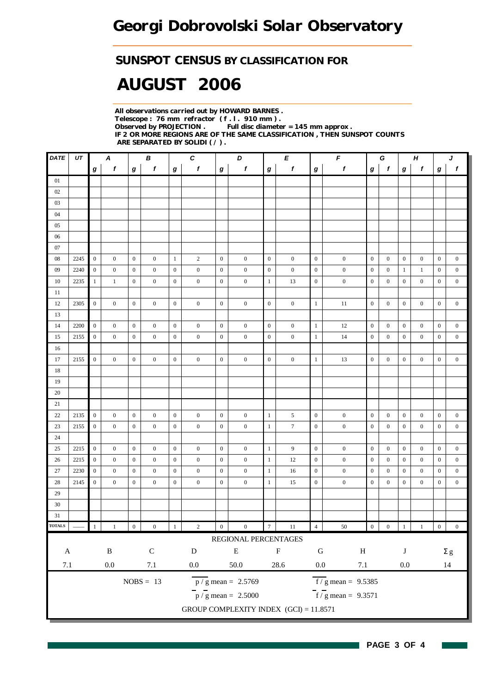### *SUNSPOT CENSUS BY CLASSIFICATION FOR*

# *AUGUST 2006*

*All observations carried out by HOWARD BARNES . Telescope : 76 mm refractor ( f . l . 910 mm ) . Full disc diameter = 145 mm approx . IF 2 OR MORE REGIONS ARE OF THE SAME CLASSIFICATION , THEN SUNSPOT COUNTS ARE SEPARATED BY SOLIDI ( / ) .*

| <b>DATE</b>               | UT   | В<br>A                                |                  |                  |                  |                  | $\pmb{c}$        | F<br>D<br>E      |                                        |                  |                  |                  |                                  | $\boldsymbol{H}$<br>G |                  |                  |                  | J                |                  |  |
|---------------------------|------|---------------------------------------|------------------|------------------|------------------|------------------|------------------|------------------|----------------------------------------|------------------|------------------|------------------|----------------------------------|-----------------------|------------------|------------------|------------------|------------------|------------------|--|
|                           |      | $\mathbf{f}$<br>$\mathbf f$<br>g<br>g |                  |                  | g                | $\boldsymbol{f}$ | $\boldsymbol{g}$ | $\mathbf f$      | g                                      | f                | g                | $\pmb{f}$        | g                                | f                     | $\bm{g}$         | f                | g                | $\boldsymbol{f}$ |                  |  |
| 01                        |      |                                       |                  |                  |                  |                  |                  |                  |                                        |                  |                  |                  |                                  |                       |                  |                  |                  |                  |                  |  |
| 02                        |      |                                       |                  |                  |                  |                  |                  |                  |                                        |                  |                  |                  |                                  |                       |                  |                  |                  |                  |                  |  |
| 03                        |      |                                       |                  |                  |                  |                  |                  |                  |                                        |                  |                  |                  |                                  |                       |                  |                  |                  |                  |                  |  |
| 04                        |      |                                       |                  |                  |                  |                  |                  |                  |                                        |                  |                  |                  |                                  |                       |                  |                  |                  |                  |                  |  |
| 05                        |      |                                       |                  |                  |                  |                  |                  |                  |                                        |                  |                  |                  |                                  |                       |                  |                  |                  |                  |                  |  |
| 06                        |      |                                       |                  |                  |                  |                  |                  |                  |                                        |                  |                  |                  |                                  |                       |                  |                  |                  |                  |                  |  |
| 07                        |      |                                       |                  |                  |                  |                  |                  |                  |                                        |                  |                  |                  |                                  |                       |                  |                  |                  |                  |                  |  |
| 08                        | 2245 | $\overline{0}$                        | $\boldsymbol{0}$ | $\mathbf{0}$     | $\mathbf{0}$     | $\mathbf{1}$     | $\overline{2}$   | $\boldsymbol{0}$ | $\boldsymbol{0}$                       | $\mathbf{0}$     | $\boldsymbol{0}$ | $\mathbf{0}$     | $\boldsymbol{0}$                 | $\mathbf{0}$          | $\boldsymbol{0}$ | $\boldsymbol{0}$ | $\boldsymbol{0}$ | $\boldsymbol{0}$ | $\boldsymbol{0}$ |  |
| 09                        | 2240 | $\mathbf{0}$                          | $\boldsymbol{0}$ | $\mathbf{0}$     | $\mathbf{0}$     | $\mathbf{0}$     | $\boldsymbol{0}$ | $\boldsymbol{0}$ | $\boldsymbol{0}$                       | $\mathbf{0}$     | $\boldsymbol{0}$ | $\mathbf{0}$     | $\boldsymbol{0}$                 | $\boldsymbol{0}$      | $\boldsymbol{0}$ | -1               | $\mathbf{1}$     | $\boldsymbol{0}$ | $\boldsymbol{0}$ |  |
| 10                        | 2235 | $\mathbf{1}$                          | $\mathbf{1}$     | $\mathbf{0}$     | $\overline{0}$   | $\mathbf{0}$     | $\mathbf{0}$     | $\mathbf{0}$     | $\mathbf{0}$                           | $\mathbf{1}$     | 13               | $\mathbf{0}$     | $\boldsymbol{0}$                 | $\mathbf{0}$          | $\mathbf{0}$     | $\mathbf{0}$     | $\boldsymbol{0}$ | $\mathbf{0}$     | $\mathbf{0}$     |  |
| 11                        |      |                                       |                  |                  |                  |                  |                  |                  |                                        |                  |                  |                  |                                  |                       |                  |                  |                  |                  |                  |  |
| 12                        | 2305 | $\overline{0}$                        | $\overline{0}$   | $\mathbf{0}$     | $\overline{0}$   | $\mathbf{0}$     | $\boldsymbol{0}$ | $\mathbf{0}$     | $\mathbf{0}$                           | $\overline{0}$   | $\mathbf{0}$     | 1                | 11                               | $\overline{0}$        | $\mathbf{0}$     | $\overline{0}$   | $\overline{0}$   | $\boldsymbol{0}$ | $\overline{0}$   |  |
| 13                        |      |                                       |                  |                  |                  |                  |                  |                  |                                        |                  |                  |                  |                                  |                       |                  |                  |                  |                  |                  |  |
| 14                        | 2200 | $\boldsymbol{0}$                      | $\boldsymbol{0}$ | $\boldsymbol{0}$ | $\mathbf{0}$     | $\mathbf{0}$     | $\boldsymbol{0}$ | $\mathbf{0}$     | $\boldsymbol{0}$                       | $\mathbf{0}$     | $\mathbf{0}$     | $\mathbf{1}$     | 12                               | $\boldsymbol{0}$      | $\mathbf{0}$     | $\boldsymbol{0}$ | $\boldsymbol{0}$ | $\overline{0}$   | $\boldsymbol{0}$ |  |
| 15                        | 2155 | $\mathbf{0}$                          | $\mathbf{0}$     | $\mathbf{0}$     | $\mathbf{0}$     | $\mathbf{0}$     | $\boldsymbol{0}$ | $\boldsymbol{0}$ | $\boldsymbol{0}$                       | $\mathbf{0}$     | $\boldsymbol{0}$ | $\mathbf{1}$     | 14                               | $\mathbf{0}$          | $\mathbf{0}$     | $\boldsymbol{0}$ | $\boldsymbol{0}$ | $\boldsymbol{0}$ | $\boldsymbol{0}$ |  |
| 16                        |      |                                       |                  |                  |                  |                  |                  |                  |                                        |                  |                  |                  |                                  |                       |                  |                  |                  |                  |                  |  |
| 17                        | 2155 | $\mathbf{0}$                          | $\mathbf{0}$     | $\mathbf{0}$     | $\mathbf{0}$     | $\mathbf{0}$     | $\boldsymbol{0}$ | $\mathbf{0}$     | $\overline{0}$                         | $\boldsymbol{0}$ | $\boldsymbol{0}$ | $\mathbf{1}$     | 13                               | $\mathbf{0}$          | $\boldsymbol{0}$ | $\mathbf{0}$     | $\overline{0}$   | $\boldsymbol{0}$ | $\boldsymbol{0}$ |  |
| 18                        |      |                                       |                  |                  |                  |                  |                  |                  |                                        |                  |                  |                  |                                  |                       |                  |                  |                  |                  |                  |  |
| 19                        |      |                                       |                  |                  |                  |                  |                  |                  |                                        |                  |                  |                  |                                  |                       |                  |                  |                  |                  |                  |  |
| 20                        |      |                                       |                  |                  |                  |                  |                  |                  |                                        |                  |                  |                  |                                  |                       |                  |                  |                  |                  |                  |  |
| 21                        |      |                                       |                  |                  |                  |                  |                  |                  |                                        |                  |                  |                  |                                  |                       |                  |                  |                  |                  |                  |  |
| 22                        | 2135 | $\boldsymbol{0}$                      | $\boldsymbol{0}$ | $\mathbf{0}$     | $\mathbf{0}$     | $\boldsymbol{0}$ | $\boldsymbol{0}$ | $\boldsymbol{0}$ | $\boldsymbol{0}$                       | $\mathbf{1}$     | 5                | $\boldsymbol{0}$ | $\boldsymbol{0}$                 | $\boldsymbol{0}$      | $\mathbf{0}$     | $\boldsymbol{0}$ | $\boldsymbol{0}$ | $\boldsymbol{0}$ | $\mathbf{0}$     |  |
| 23                        | 2155 | $\mathbf{0}$                          | $\boldsymbol{0}$ | $\mathbf{0}$     | $\mathbf{0}$     | $\mathbf{0}$     | $\boldsymbol{0}$ | $\boldsymbol{0}$ | $\boldsymbol{0}$                       | $\mathbf{1}$     | $\boldsymbol{7}$ | $\mathbf{0}$     | $\boldsymbol{0}$                 | $\mathbf{0}$          | $\mathbf{0}$     | $\boldsymbol{0}$ | $\mathbf{0}$     | $\mathbf{0}$     | $\mathbf{0}$     |  |
| 24                        |      |                                       |                  |                  |                  |                  |                  |                  |                                        |                  |                  |                  |                                  |                       |                  |                  |                  |                  |                  |  |
| 25                        | 2215 | $\mathbf{0}$                          | $\mathbf{0}$     | $\mathbf{0}$     | $\mathbf{0}$     | $\mathbf{0}$     | $\boldsymbol{0}$ | $\mathbf{0}$     | $\mathbf{0}$                           | $\mathbf{1}$     | 9                | $\mathbf{0}$     | $\boldsymbol{0}$                 | $\mathbf{0}$          | $\mathbf{0}$     | $\mathbf{0}$     | $\mathbf{0}$     | $\mathbf{0}$     | $\mathbf{0}$     |  |
| 26                        | 2215 | $\boldsymbol{0}$                      | $\mathbf{0}$     | $\mathbf{0}$     | $\mathbf{0}$     | $\mathbf{0}$     | $\mathbf{0}$     | $\boldsymbol{0}$ | $\boldsymbol{0}$                       | $\mathbf{1}$     | 12               | $\mathbf{0}$     | $\boldsymbol{0}$                 | $\mathbf{0}$          | $\mathbf{0}$     | $\boldsymbol{0}$ | $\boldsymbol{0}$ | $\boldsymbol{0}$ | $\mathbf{0}$     |  |
| $27\,$                    | 2230 | $\boldsymbol{0}$                      | $\boldsymbol{0}$ | $\mathbf{0}$     | $\mathbf{0}$     | $\mathbf{0}$     | $\boldsymbol{0}$ | $\boldsymbol{0}$ | $\boldsymbol{0}$                       | $\mathbf{1}$     | 16               | $\boldsymbol{0}$ | $\boldsymbol{0}$                 | $\boldsymbol{0}$      | $\boldsymbol{0}$ | $\boldsymbol{0}$ | $\boldsymbol{0}$ | $\boldsymbol{0}$ | $\boldsymbol{0}$ |  |
| 28                        | 2145 | $\boldsymbol{0}$                      | $\overline{0}$   | $\mathbf{0}$     | $\overline{0}$   | $\boldsymbol{0}$ | $\boldsymbol{0}$ | $\boldsymbol{0}$ | $\mathbf{0}$                           | $\mathbf{1}$     | 15               | $\mathbf{0}$     | $\mathbf{0}$                     | $\boldsymbol{0}$      | $\boldsymbol{0}$ | $\boldsymbol{0}$ | $\boldsymbol{0}$ | $\boldsymbol{0}$ | $\overline{0}$   |  |
| 29                        |      |                                       |                  |                  |                  |                  |                  |                  |                                        |                  |                  |                  |                                  |                       |                  |                  |                  |                  |                  |  |
| 30                        |      |                                       |                  |                  |                  |                  |                  |                  |                                        |                  |                  |                  |                                  |                       |                  |                  |                  |                  |                  |  |
| 31                        |      |                                       |                  |                  |                  |                  |                  |                  |                                        |                  |                  |                  |                                  |                       |                  |                  |                  |                  |                  |  |
| <b>TOTALS</b>             |      | 1                                     | $\,1$            | $\,0\,$          | $\boldsymbol{0}$ | $\,1\,$          | $\sqrt{2}$       | $\boldsymbol{0}$ | $\boldsymbol{0}$                       | $\boldsymbol{7}$ | $11\,$           | $\overline{4}$   | $50\,$                           | $\boldsymbol{0}$      | $\boldsymbol{0}$ | $\,$ 1 $\,$      | $\,$ $\,$ $\,$   | $\boldsymbol{0}$ | $\boldsymbol{0}$ |  |
|                           |      |                                       |                  |                  |                  |                  |                  |                  | REGIONAL PERCENTAGES                   |                  |                  |                  |                                  |                       |                  |                  |                  |                  |                  |  |
| $\boldsymbol{\mathsf{A}}$ |      |                                       | $\, {\bf B}$     |                  | $\mathsf C$      |                  | ${\bf D}$        |                  | ${\bf E}$                              |                  | $\mathbf F$      | ${\bf G}$        | $\, {\rm H}$                     |                       |                  | $\bf J$          |                  |                  | $\Sigma$ g       |  |
| $7.1\,$                   |      |                                       | $0.0\,$          |                  | $7.1\,$          |                  | $0.0\,$          |                  | 50.0                                   |                  | $28.6\,$         | $0.0\,$          | $7.1\,$                          |                       |                  | $0.0\,$          |                  |                  | 14               |  |
|                           |      |                                       |                  |                  |                  |                  |                  |                  |                                        |                  |                  |                  |                                  |                       |                  |                  |                  |                  |                  |  |
|                           |      |                                       |                  |                  | $NOBS = 13$      |                  |                  |                  | $p / g$ mean = 2.5769                  |                  |                  |                  | $\overline{f}$ / g mean = 9.5385 |                       |                  |                  |                  |                  |                  |  |
|                           |      |                                       |                  |                  |                  |                  |                  |                  | $\frac{1}{p}$ / g mean = 2.5000        |                  |                  |                  | $f/g$ mean = 9.3571              |                       |                  |                  |                  |                  |                  |  |
|                           |      |                                       |                  |                  |                  |                  |                  |                  | GROUP COMPLEXITY INDEX (GCI) = 11.8571 |                  |                  |                  |                                  |                       |                  |                  |                  |                  |                  |  |

H